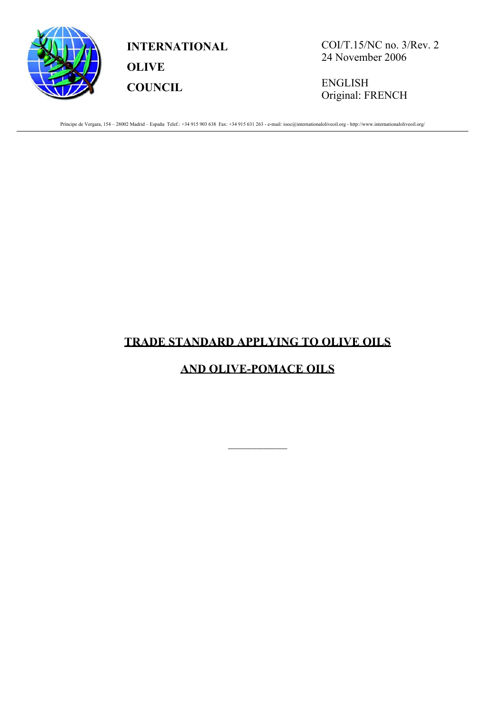

**INTERNATIONAL OLIVE COUNCIL**

COI/T.15/NC no. 3/Rev. 2 24 November 2006

ENGLISH Original: FRENCH

Príncipe de Vergara, 154 – 28002 Madrid – España Telef.: +34 915 903 638 Fax: +34 915 631 263 - e-mail: iooc@internationaloliveoil.org - http://www.internationaloliveoil.org/

# **TRADE STANDARD APPLYING TO OLIVE OILS**

# **AND OLIVE-POMACE OILS**

 $\frac{1}{2}$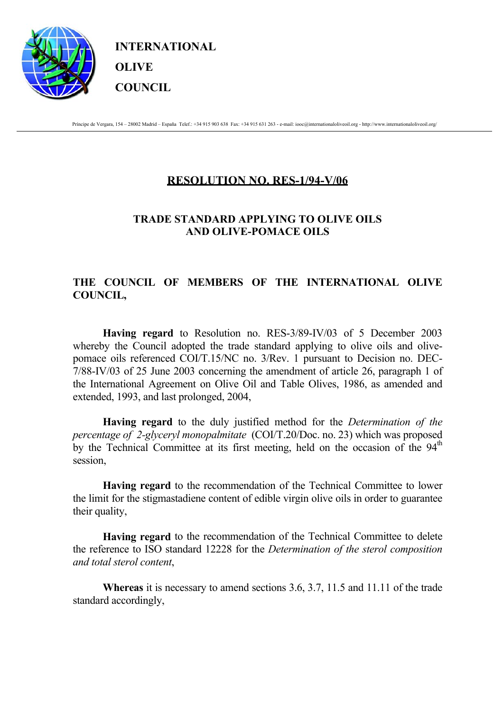

**INTERNATIONAL OLIVE COUNCIL**

Príncipe de Vergara, 154 – 28002 Madrid – España Telef.: +34 915 903 638 Fax: +34 915 631 263 - e-mail: iooc@internationaloliveoil.org - http://www.internationaloliveoil.org/

# **RESOLUTION NO. RES-1/94-V/06**

# **TRADE STANDARD APPLYING TO OLIVE OILS AND OLIVE-POMACE OILS**

# **THE COUNCIL OF MEMBERS OF THE INTERNATIONAL OLIVE COUNCIL,**

 **Having regard** to Resolution no. RES-3/89-IV/03 of 5 December 2003 whereby the Council adopted the trade standard applying to olive oils and olivepomace oils referenced COI/T.15/NC no. 3/Rev. 1 pursuant to Decision no. DEC-7/88-IV/03 of 25 June 2003 concerning the amendment of article 26, paragraph 1 of the International Agreement on Olive Oil and Table Olives, 1986, as amended and extended, 1993, and last prolonged, 2004,

 **Having regard** to the duly justified method for the *Determination of the percentage of 2-glyceryl monopalmitate* (COI/T.20/Doc. no. 23) which was proposed by the Technical Committee at its first meeting, held on the occasion of the  $94<sup>th</sup>$ session,

 **Having regard** to the recommendation of the Technical Committee to lower the limit for the stigmastadiene content of edible virgin olive oils in order to guarantee their quality,

**Having regard** to the recommendation of the Technical Committee to delete the reference to ISO standard 12228 for the *Determination of the sterol composition and total sterol content*,

 **Whereas** it is necessary to amend sections 3.6, 3.7, 11.5 and 11.11 of the trade standard accordingly,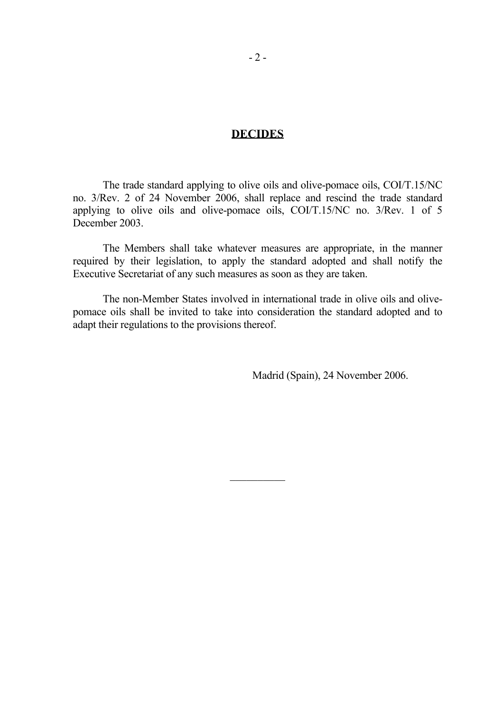#### **DECIDES**

 The trade standard applying to olive oils and olive-pomace oils, COI/T.15/NC no. 3/Rev. 2 of 24 November 2006, shall replace and rescind the trade standard applying to olive oils and olive-pomace oils, COI/T.15/NC no. 3/Rev. 1 of 5 December 2003.

 The Members shall take whatever measures are appropriate, in the manner required by their legislation, to apply the standard adopted and shall notify the Executive Secretariat of any such measures as soon as they are taken.

 The non-Member States involved in international trade in olive oils and olivepomace oils shall be invited to take into consideration the standard adopted and to adapt their regulations to the provisions thereof.

Madrid (Spain), 24 November 2006.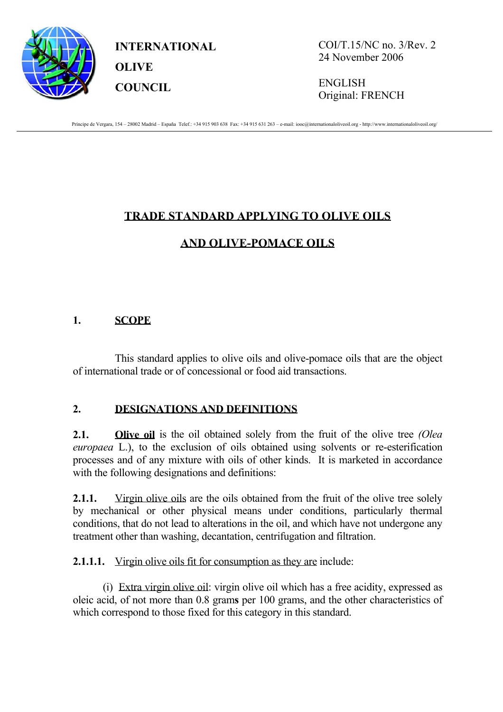

**INTERNATIONAL OLIVE COUNCIL**

COI/T.15/NC no. 3/Rev. 2 24 November 2006

ENGLISH Original: FRENCH

Príncipe de Vergara, 154 – 28002 Madrid – España Telef.: +34 915 903 638 Fax: +34 915 631 263 – e-mail: iooc@internationaloliveoil.org - http://www.internationaloliveoil.org/

# **TRADE STANDARD APPLYING TO OLIVE OILS**

# **AND OLIVE-POMACE OILS**

# **1. SCOPE**

This standard applies to olive oils and olive-pomace oils that are the object of international trade or of concessional or food aid transactions.

#### **2. DESIGNATIONS AND DEFINITIONS**

**2.1. Olive oil** is the oil obtained solely from the fruit of the olive tree *(Olea*) *europaea* L.), to the exclusion of oils obtained using solvents or re-esterification processes and of any mixture with oils of other kinds. It is marketed in accordance with the following designations and definitions:

**2.1.1.** Virgin olive oils are the oils obtained from the fruit of the olive tree solely by mechanical or other physical means under conditions, particularly thermal conditions, that do not lead to alterations in the oil, and which have not undergone any treatment other than washing, decantation, centrifugation and filtration.

**2.1.1.1.** Virgin olive oils fit for consumption as they are include:

(i) Extra virgin olive oil: virgin olive oil which has a free acidity, expressed as oleic acid, of not more than 0.8 gram**s** per 100 grams, and the other characteristics of which correspond to those fixed for this category in this standard.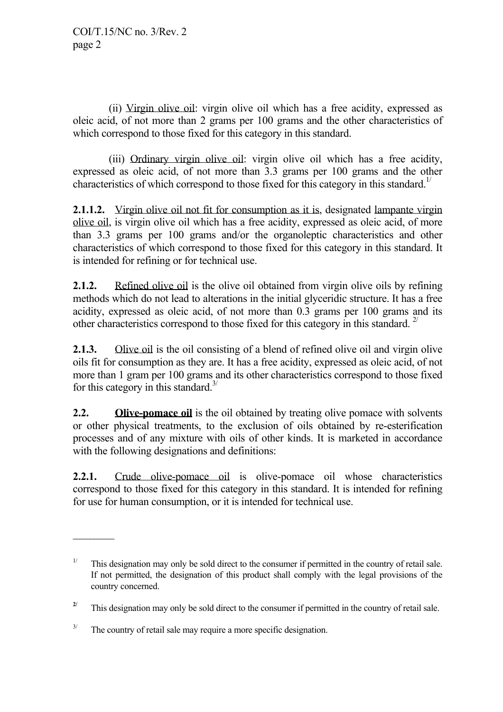(ii) Virgin olive oil: virgin olive oil which has a free acidity, expressed as oleic acid, of not more than 2 grams per 100 grams and the other characteristics of which correspond to those fixed for this category in this standard.

 (iii) Ordinary virgin olive oil: virgin olive oil which has a free acidity, expressed as oleic acid, of not more than 3.3 grams per 100 grams and the other characteristics of which correspond to those fixed for this category in this standard.<sup>1/</sup>

**2.1.1.2.** Virgin olive oil not fit for consumption as it is, designated lampante virgin olive oil, is virgin olive oil which has a free acidity, expressed as oleic acid, of more than 3.3 grams per 100 grams and/or the organoleptic characteristics and other characteristics of which correspond to those fixed for this category in this standard. It is intended for refining or for technical use.

**2.1.2.** Refined olive oil is the olive oil obtained from virgin olive oils by refining methods which do not lead to alterations in the initial glyceridic structure. It has a free acidity, expressed as oleic acid, of not more than 0.3 grams per 100 grams and its other characteristics correspond to those fixed for this category in this standard.  $2^{7}$ 

**2.1.3.** Olive oil is the oil consisting of a blend of refined olive oil and virgin olive oils fit for consumption as they are. It has a free acidity, expressed as oleic acid, of not more than 1 gram per 100 grams and its other characteristics correspond to those fixed for this category in this standard.<sup>3/</sup>

**2.2. Olive-pomace oil** is the oil obtained by treating olive pomace with solvents or other physical treatments, to the exclusion of oils obtained by re-esterification processes and of any mixture with oils of other kinds. It is marketed in accordance with the following designations and definitions:

**2.2.1.** Crude olive-pomace oil is olive-pomace oil whose characteristics correspond to those fixed for this category in this standard. It is intended for refining for use for human consumption, or it is intended for technical use.

**\_\_\_\_\_\_\_\_\_\_\_\_** 

<sup>&</sup>lt;sup>1/</sup> This designation may only be sold direct to the consumer if permitted in the country of retail sale. If not permitted, the designation of this product shall comply with the legal provisions of the country concerned.

<sup>&</sup>lt;sup>2/</sup> This designation may only be sold direct to the consumer if permitted in the country of retail sale.

 $3/$  The country of retail sale may require a more specific designation.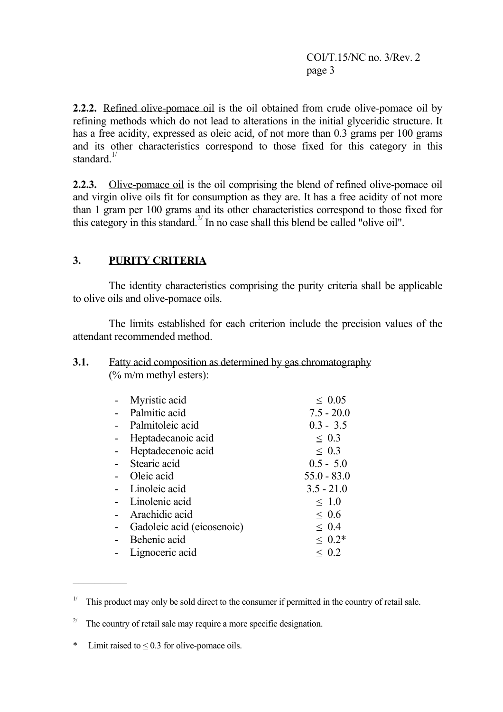COI/T.15/NC no. 3/Rev. 2 page 3

 **2.2.2.** Refined olive-pomace oil is the oil obtained from crude olive-pomace oil by refining methods which do not lead to alterations in the initial glyceridic structure. It has a free acidity, expressed as oleic acid, of not more than 0.3 grams per 100 grams and its other characteristics correspond to those fixed for this category in this standard $\frac{1}{2}$ 

**2.2.3.** Olive-pomace oil is the oil comprising the blend of refined olive-pomace oil and virgin olive oils fit for consumption as they are. It has a free acidity of not more than 1 gram per 100 grams and its other characteristics correspond to those fixed for this category in this standard.<sup>2/</sup> In no case shall this blend be called "olive oil".

# **3. PURITY CRITERIA**

 The identity characteristics comprising the purity criteria shall be applicable to olive oils and olive-pomace oils.

 The limits established for each criterion include the precision values of the attendant recommended method.

#### **3.1.** Fatty acid composition as determined by gas chromatography (% m/m methyl esters):

| Myristic acid              | $\leq 0.05$   |
|----------------------------|---------------|
| Palmitic acid              | $7.5 - 20.0$  |
| Palmitoleic acid           | $0.3 - 3.5$   |
| Heptadecanoic acid         | $\leq 0.3$    |
| Heptadecenoic acid         | $\leq 0.3$    |
| Stearic acid               | $0.5 - 5.0$   |
| Oleic acid                 | $55.0 - 83.0$ |
| Linoleic acid              | $3.5 - 21.0$  |
| Linolenic acid             | $\leq 1.0$    |
| Arachidic acid             | $\leq 0.6$    |
| Gadoleic acid (eicosenoic) | $\leq 0.4$    |
| Behenic acid               | $\leq 0.2*$   |
| Lignoceric acid            | $\leq 0.2$    |

<sup>2/</sup> The country of retail sale may require a more specific designation.

\* Limit raised to  $\leq 0.3$  for olive-pomace oils.

<sup>&</sup>lt;sup>1/</sup> This product may only be sold direct to the consumer if permitted in the country of retail sale.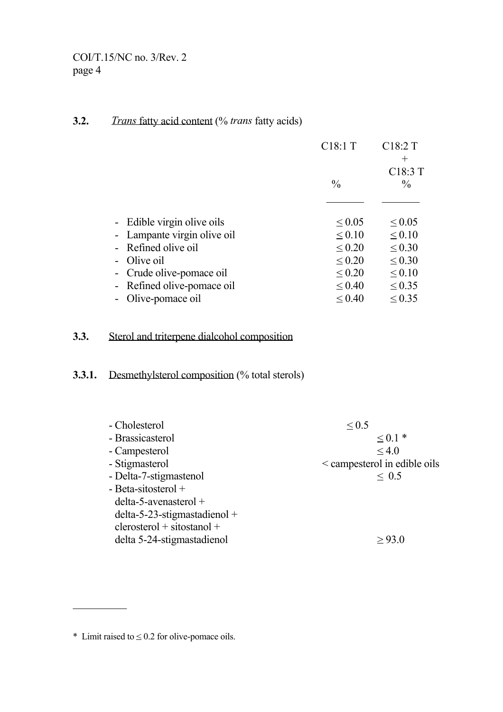# **3.2.** *Trans* fatty acid content (% *trans* fatty acids)

|                             | C <sub>18:1</sub> T | C18:2T<br>$^+$                        |
|-----------------------------|---------------------|---------------------------------------|
|                             | $\frac{0}{0}$       | C <sub>18</sub> :3 T<br>$\frac{0}{0}$ |
|                             |                     |                                       |
| - Edible virgin olive oils  | $\leq 0.05$         | $\leq 0.05$                           |
| - Lampante virgin olive oil | $\leq 0.10$         | $\leq 0.10$                           |
| - Refined olive oil         | $\leq 0.20$         | $\leq 0.30$                           |
| - Olive oil                 | $\leq 0.20$         | $\leq 0.30$                           |
| - Crude olive-pomace oil    | $\leq 0.20$         | $\leq 0.10$                           |
| - Refined olive-pomace oil  | $\leq 0.40$         | $\leq 0.35$                           |
| - Olive-pomace oil          | $\leq 0.40$         | $\leq 0.35$                           |

# **3.3.** Sterol and triterpene dialcohol composition

# **3.3.1.** Desmethylsterol composition (% total sterols)

| - Cholesterol                   | $\leq 0.5$                   |
|---------------------------------|------------------------------|
| - Brassicasterol                | $\leq 0.1*$                  |
| - Campesterol                   | $\leq 4.0$                   |
| - Stigmasterol                  | < campesterol in edible oils |
| - Delta-7-stigmastenol          | $\leq 0.5$                   |
| - Beta-sitosterol +             |                              |
| $delta-5$ -avenasterol +        |                              |
| $delta-5-23$ -stigmastadienol + |                              |
| $clerosterol + sitostanol +$    |                              |
| delta 5-24-stigmastadienol      |                              |

 $*$  Limit raised to  $\leq 0.2$  for olive-pomace oils.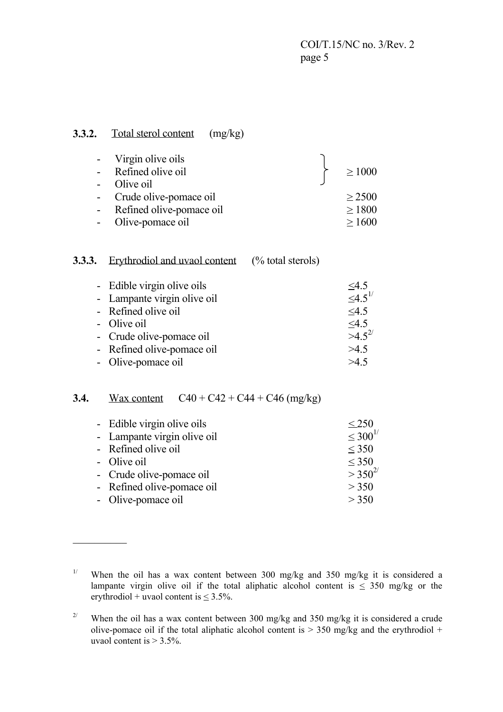COI/T.15/NC no. 3/Rev. 2 page 5

#### **3.3.2.** Total sterol content (mg/kg)

|            | - Virgin olive oils      |             |
|------------|--------------------------|-------------|
|            | - Refined olive oil      | $\geq 1000$ |
| $\sim 100$ | Olive oil                |             |
|            | - Crude olive-pomace oil | $\geq$ 2500 |
| $\sim$ $-$ | Refined olive-pomace oil | $\geq 1800$ |
|            | Olive-pomace oil         | >1600       |

# **3.3.3.** Erythrodiol and uvaol content (% total sterols)

| - Edible virgin olive oils  | $\leq$ 4.5       |
|-----------------------------|------------------|
| - Lampante virgin olive oil | $\leq 4.5^{1/5}$ |
| - Refined olive oil         | $\leq 4.5$       |
| - Olive oil                 | 4.5              |
| - Crude olive-pomace oil    | $>4.5^{2/}$      |
| - Refined olive-pomace oil  | >4.5             |
| - Olive-pomace oil          | >4.5             |

# **3.4.** Wax content  $C40 + C42 + C44 + C46$  (mg/kg)

| - Edible virgin olive oils  | $\leq$ 250       |
|-----------------------------|------------------|
| - Lampante virgin olive oil | $\leq 300^{1/5}$ |
| - Refined olive oil         | $\leq$ 350       |
| - Olive oil                 | $\leq$ 350       |
| - Crude olive-pomace oil    | $>350^{2/3}$     |
| - Refined olive-pomace oil  | > 350            |
| - Olive-pomace oil          | > 350            |

<sup>&</sup>lt;sup>1/</sup> When the oil has a wax content between 300 mg/kg and 350 mg/kg it is considered a lampante virgin olive oil if the total aliphatic alcohol content is  $\leq$  350 mg/kg or the erythrodiol + uvaol content is  $\leq 3.5\%$ .

<sup>&</sup>lt;sup>2/</sup> When the oil has a wax content between 300 mg/kg and 350 mg/kg it is considered a crude olive-pomace oil if the total aliphatic alcohol content is  $> 350$  mg/kg and the erythrodiol + uvaol content is  $> 3.5\%$ .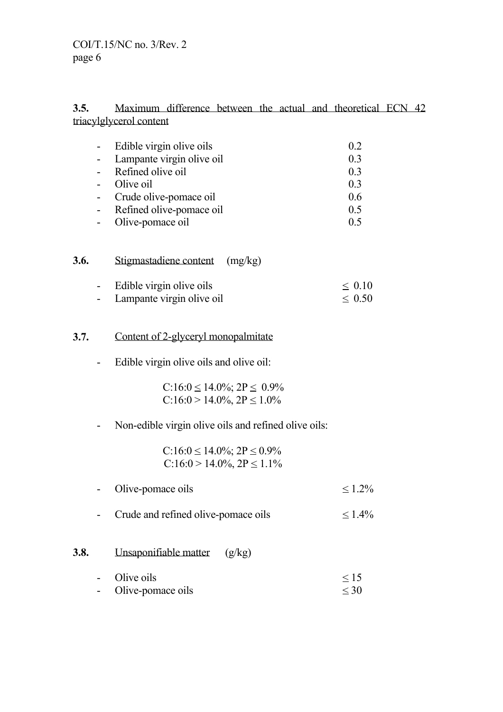#### **3.5.** Maximum difference between the actual and theoretical ECN 42 triacylglycerol content

| $\blacksquare$ | Edible virgin olive oils  | 02  |
|----------------|---------------------------|-----|
| $\blacksquare$ | Lampante virgin olive oil | 0.3 |
| $\sim$         | Refined olive oil         | 0.3 |
| $\sim$         | Olive oil                 | 0.3 |
| $\sim 100$     | Crude olive-pomace oil    | 0.6 |
|                | Refined olive-pomace oil  | 0.5 |
|                | Olive-pomace oil          |     |

| 3.6. | Stigmastadiene content (mg/kg) |             |  |  |
|------|--------------------------------|-------------|--|--|
|      | - Edible virgin olive oils     | $\leq 0.10$ |  |  |

- Lampante virgin olive oil  $\leq 0.50$ 

# **3.7.** Content of 2-glyceryl monopalmitate

- Edible virgin olive oils and olive oil:

 $C:16:0 \le 14.0\%$ ;  $2P \le 0.9\%$  $C:16:0 > 14.0\%$ ,  $2P \le 1.0\%$ 

# - Non-edible virgin olive oils and refined olive oils:

| $C:16:0 \le 14.0\%$ ; $2P \le 0.9\%$ |
|--------------------------------------|
| $C:16:0 > 14.0\%, 2P \le 1.1\%$      |

- Olive-pomace oils  $\leq 1.2\%$
- Crude and refined olive-pomace oils  $\leq 1.4\%$

#### **3.8.** Unsaponifiable matter (g/kg)

- Olive oils  $\leq 15$ - Olive-pomace oils  $\leq 30$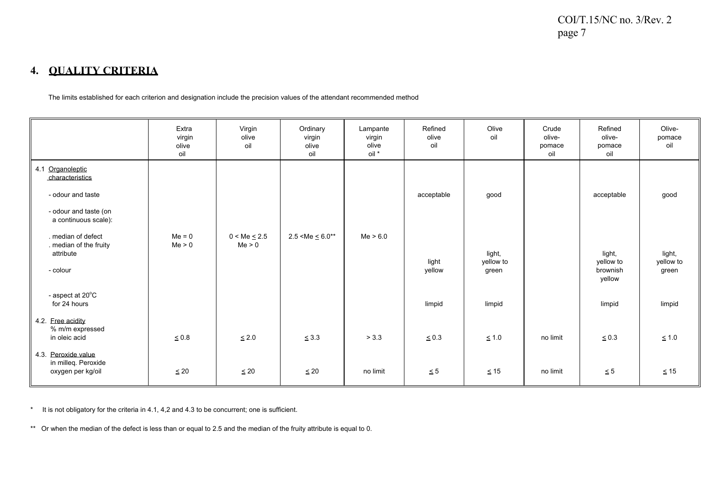#### **4. QUALITY CRITERIA**

The limits established for each criterion and designation include the precision values of the attendant recommended method

|                                                                                                           | Extra<br>virgin<br>olive<br>oil | Virgin<br>olive<br>oil      | Ordinary<br>virgin<br>olive<br>oil | Lampante<br>virgin<br>olive<br>oil * | Refined<br>olive<br>oil | Olive<br>oil                 | Crude<br>olive-<br>pomace<br>oil | Refined<br>olive-<br>pomace<br>oil        | Olive-<br>pomace<br>oil      |
|-----------------------------------------------------------------------------------------------------------|---------------------------------|-----------------------------|------------------------------------|--------------------------------------|-------------------------|------------------------------|----------------------------------|-------------------------------------------|------------------------------|
| 4.1 Organoleptic<br>characteristics<br>- odour and taste<br>- odour and taste (on<br>a continuous scale): |                                 |                             |                                    |                                      | acceptable              | good                         |                                  | acceptable                                | good                         |
| . median of defect<br>. median of the fruity<br>attribute<br>- colour                                     | $Me = 0$<br>Me > 0              | $0 < Me \leq 2.5$<br>Me > 0 | $2.5 < Me \leq 6.0**$              | Me > 6.0                             | light<br>yellow         | light,<br>yellow to<br>green |                                  | light,<br>yellow to<br>brownish<br>yellow | light,<br>yellow to<br>green |
| - aspect at 20°C<br>for 24 hours                                                                          |                                 |                             |                                    |                                      | limpid                  | limpid                       |                                  | limpid                                    | limpid                       |
| 4.2. Free acidity<br>% m/m expressed<br>in oleic acid                                                     | $\leq 0.8$                      | $\leq 2.0$                  | < 3.3                              | > 3.3                                | ${}_{0.3}$              | $\leq 1.0$                   | no limit                         | ${}_{0.3}$                                | $\leq 1.0$                   |
| 4.3. Peroxide value<br>in milleq. Peroxide<br>oxygen per kg/oil                                           | $\leq 20$                       | $\leq 20$                   | $\leq 20$                          | no limit                             | $\leq 5$                | $\leq 15$                    | no limit                         | $\leq 5$                                  | $\leq 15$                    |

\* It is not obligatory for the criteria in 4.1, 4,2 and 4.3 to be concurrent; one is sufficient.

\*\* Or when the median of the defect is less than or equal to 2.5 and the median of the fruity attribute is equal to 0.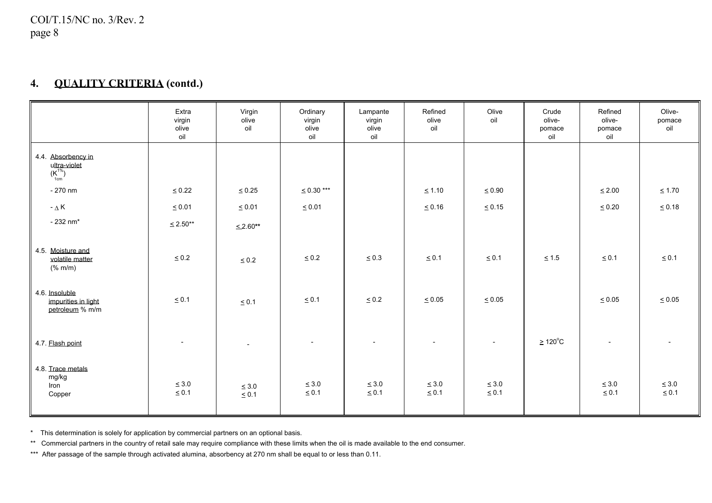#### **4.QUALITY CRITERIA (contd.)**

|                                                                           | Extra<br>virgin<br>olive<br>oil | Virgin<br>olive<br>oil   | Ordinary<br>virgin<br>olive<br>oil | Lampante<br>virgin<br>olive<br>oil | Refined<br>olive<br>oil  | Olive<br>oil             | Crude<br>olive-<br>pomace<br>oil | Refined<br>olive-<br>pomace<br>oil | Olive-<br>pomace<br>oil  |
|---------------------------------------------------------------------------|---------------------------------|--------------------------|------------------------------------|------------------------------------|--------------------------|--------------------------|----------------------------------|------------------------------------|--------------------------|
| 4.4 Absorbency in<br>$\underbrace{ \mathsf{ultra-violef}}_{\mathsf{1cm}}$ |                                 |                          |                                    |                                    |                          |                          |                                  |                                    |                          |
| $-270$ nm                                                                 | $\leq 0.22$                     | $\leq 0.25$              | $\leq 0.30***$                     |                                    | $\leq 1.10$              | $\leq 0.90$              |                                  | $\leq 2.00$                        | $\leq 1.70$              |
| $-\Delta K$                                                               | $\leq 0.01$                     | $\leq 0.01$              | $\leq 0.01$                        |                                    | $\leq 0.16$              | $\leq 0.15$              |                                  | $\leq 0.20$                        | $\leq 0.18$              |
| $-232$ nm <sup>*</sup>                                                    | $\leq 2.50**$                   | $\leq 2.60**$            |                                    |                                    |                          |                          |                                  |                                    |                          |
| 4.5. Moisture and<br>volatile matter<br>(% m/m)                           | $\leq 0.2$                      | $\leq 0.2$               | $\leq 0.2$                         | $\leq 0.3$                         | $\leq 0.1$               | $\leq 0.1$               | $\leq 1.5$                       | $\leq 0.1$                         | $\leq 0.1$               |
| 4.6. Insoluble<br>impurities in light<br>petroleum % m/m                  | $\leq 0.1$                      | $\leq 0.1$               | $\leq 0.1$                         | $\leq 0.2$                         | $\leq 0.05$              | $\leq 0.05$              |                                  | $\leq 0.05$                        | $\leq 0.05$              |
| 4.7. Flash point                                                          | $\overline{a}$                  | $\overline{a}$           | $\overline{\phantom{a}}$           | $\overline{\phantom{a}}$           | $\overline{a}$           |                          | $\geq 120^{\circ}$ C             | $\overline{a}$                     |                          |
| 4.8. Trace metals<br>mg/kg<br>Iron<br>Copper                              | $\leq 3.0$<br>$\leq 0.1$        | $\leq 3.0$<br>$\leq 0.1$ | $\leq 3.0$<br>$\leq 0.1$           | $\leq 3.0$<br>$\leq 0.1$           | $\leq 3.0$<br>$\leq 0.1$ | $\leq 3.0$<br>$\leq 0.1$ |                                  | $\leq 3.0$<br>$\leq 0.1$           | $\leq 3.0$<br>$\leq 0.1$ |

\* This determination is solely for application by commercial partners on an optional basis.

\*\* Commercial partners in the country of retail sale may require compliance with these limits when the oil is made available to the end consumer.

\*\*\* After passage of the sample through activated alumina, absorbency at 270 nm shall be equal to or less than 0.11.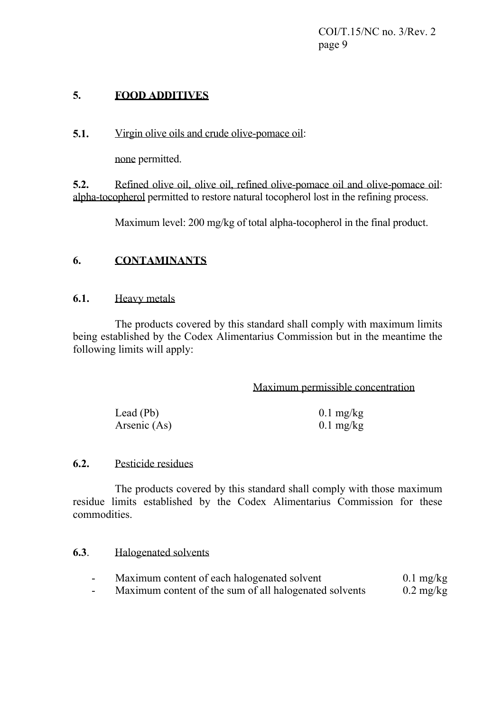COI/T.15/NC no. 3/Rev. 2 page 9

# **5. FOOD ADDITIVES**

**5.1.** Virgin olive oils and crude olive-pomace oil:

none permitted.

**5.2.** Refined olive oil, olive oil, refined olive-pomace oil and olive-pomace oil: alpha-tocopherol permitted to restore natural tocopherol lost in the refining process.

Maximum level: 200 mg/kg of total alpha-tocopherol in the final product.

#### **6. CONTAMINANTS**

#### **6.1.** Heavy metals

 The products covered by this standard shall comply with maximum limits being established by the Codex Alimentarius Commission but in the meantime the following limits will apply:

Maximum permissible concentration

| Lead (Pb)    | $0.1 \text{ mg/kg}$ |
|--------------|---------------------|
| Arsenic (As) | $0.1 \text{ mg/kg}$ |

#### **6.2.** Pesticide residues

 The products covered by this standard shall comply with those maximum residue limits established by the Codex Alimentarius Commission for these commodities.

#### **6.3**. Halogenated solvents

| Maximum content of each halogenated solvent |  |                     | $0.1 \text{ mg/kg}$ |                                    |
|---------------------------------------------|--|---------------------|---------------------|------------------------------------|
|                                             |  | $\sim$ 111 $\sim$ 1 |                     | $\sim$ $\sim$ $\sim$ $\sim$ $\sim$ |

- Maximum content of the sum of all halogenated solvents 0.2 mg/kg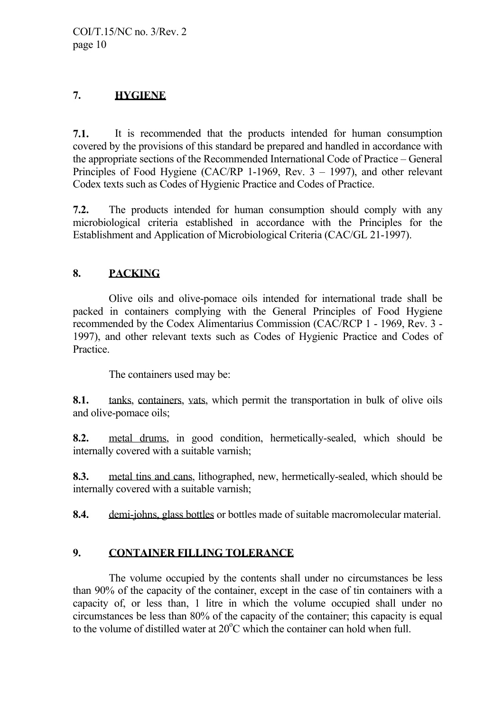# **7. HYGIENE**

**7.1.** It is recommended that the products intended for human consumption covered by the provisions of this standard be prepared and handled in accordance with the appropriate sections of the Recommended International Code of Practice – General Principles of Food Hygiene (CAC/RP 1-1969, Rev. 3 – 1997), and other relevant Codex texts such as Codes of Hygienic Practice and Codes of Practice.

**7.2.** The products intended for human consumption should comply with any microbiological criteria established in accordance with the Principles for the Establishment and Application of Microbiological Criteria (CAC/GL 21-1997).

# **8. PACKING**

 Olive oils and olive-pomace oils intended for international trade shall be packed in containers complying with the General Principles of Food Hygiene recommended by the Codex Alimentarius Commission (CAC/RCP 1 - 1969, Rev. 3 - 1997), and other relevant texts such as Codes of Hygienic Practice and Codes of Practice.

The containers used may be:

**8.1.** tanks, containers, vats, which permit the transportation in bulk of olive oils and olive-pomace oils;

**8.2.** metal drums, in good condition, hermetically-sealed, which should be internally covered with a suitable varnish;

**8.3.** metal tins and cans, lithographed, new, hermetically-sealed, which should be internally covered with a suitable varnish;

**8.4.** demi-johns, glass bottles or bottles made of suitable macromolecular material.

# **9. CONTAINER FILLING TOLERANCE**

 The volume occupied by the contents shall under no circumstances be less than 90% of the capacity of the container, except in the case of tin containers with a capacity of, or less than, 1 litre in which the volume occupied shall under no circumstances be less than 80% of the capacity of the container; this capacity is equal to the volume of distilled water at  $20^{\circ}$ C which the container can hold when full.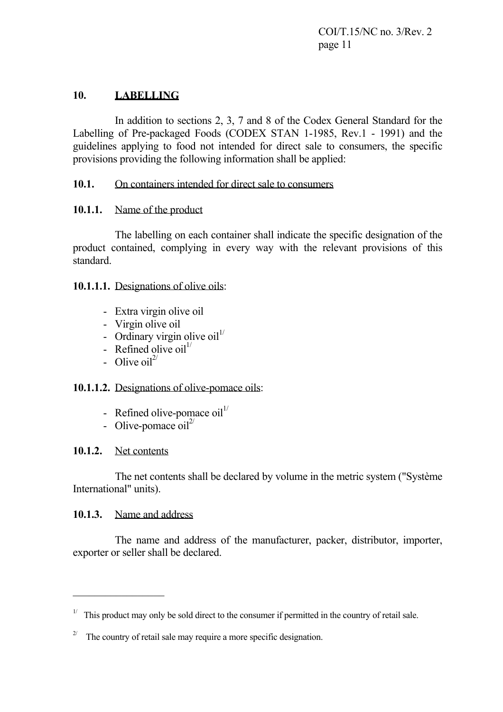COI/T.15/NC no. 3/Rev. 2 page 11

# **10. LABELLING**

 In addition to sections 2, 3, 7 and 8 of the Codex General Standard for the Labelling of Pre-packaged Foods (CODEX STAN 1-1985, Rev.1 - 1991) and the guidelines applying to food not intended for direct sale to consumers, the specific provisions providing the following information shall be applied:

#### **10.1.** On containers intended for direct sale to consumers

#### **10.1.1.** Name of the product

 The labelling on each container shall indicate the specific designation of the product contained, complying in every way with the relevant provisions of this standard.

#### **10.1.1.1.** Designations of olive oils:

- Extra virgin olive oil
- Virgin olive oil
- Ordinary virgin olive  $\text{oil}^{1/2}$
- Refined olive  $\text{oil}^{1/2}$
- Olive  $\text{oil}^{2/3}$

#### **10.1.1.2.** Designations of olive-pomace oils:

- Refined olive-pomace  $\text{oil}^{1/2}$
- Olive-pomace  $\text{oil}^{2/3}$

#### **10.1.2.** Net contents

 The net contents shall be declared by volume in the metric system ("Système International" units).

#### **10.1.3.** Name and address

 $\mathcal{L}_\text{max}$  and  $\mathcal{L}_\text{max}$  and  $\mathcal{L}_\text{max}$ 

 The name and address of the manufacturer, packer, distributor, importer, exporter or seller shall be declared.

<sup>&</sup>lt;sup>1/</sup> This product may only be sold direct to the consumer if permitted in the country of retail sale.

<sup>&</sup>lt;sup>2/</sup> The country of retail sale may require a more specific designation.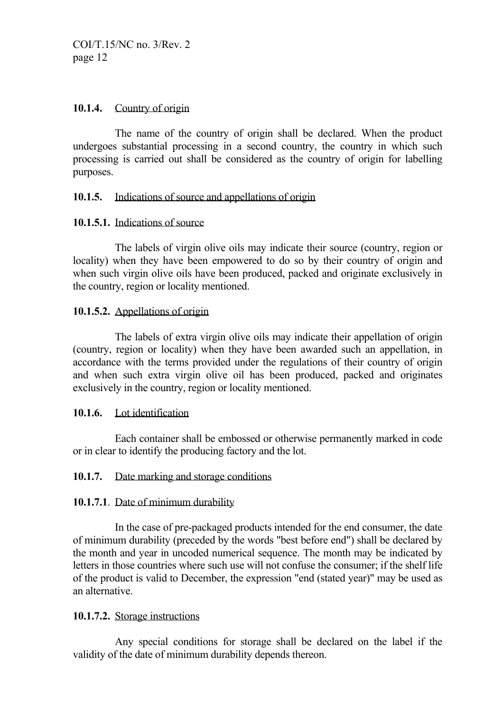#### **10.1.4.** Country of origin

 The name of the country of origin shall be declared. When the product undergoes substantial processing in a second country, the country in which such processing is carried out shall be considered as the country of origin for labelling purposes.

#### **10.1.5.** Indications of source and appellations of origin

# **10.1.5.1.** Indications of source

 The labels of virgin olive oils may indicate their source (country, region or locality) when they have been empowered to do so by their country of origin and when such virgin olive oils have been produced, packed and originate exclusively in the country, region or locality mentioned.

# **10.1.5.2.** Appellations of origin

 The labels of extra virgin olive oils may indicate their appellation of origin (country, region or locality) when they have been awarded such an appellation, in accordance with the terms provided under the regulations of their country of origin and when such extra virgin olive oil has been produced, packed and originates exclusively in the country, region or locality mentioned.

#### **10.1.6.** Lot identification

 Each container shall be embossed or otherwise permanently marked in code or in clear to identify the producing factory and the lot.

#### **10.1.7.** Date marking and storage conditions

#### **10.1.7.1**. Date of minimum durability

 In the case of pre-packaged products intended for the end consumer, the date of minimum durability (preceded by the words "best before end") shall be declared by the month and year in uncoded numerical sequence. The month may be indicated by letters in those countries where such use will not confuse the consumer; if the shelf life of the product is valid to December, the expression "end (stated year)" may be used as an alternative.

#### **10.1.7.2.** Storage instructions

 Any special conditions for storage shall be declared on the label if the validity of the date of minimum durability depends thereon.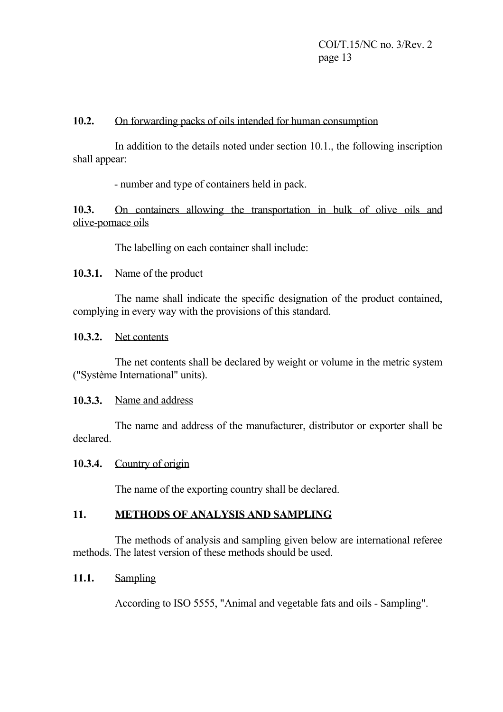#### **10.2.** On forwarding packs of oils intended for human consumption

 In addition to the details noted under section 10.1., the following inscription shall appear:

- number and type of containers held in pack.

**10.3.** On containers allowing the transportation in bulk of olive oils and olive-pomace oils

The labelling on each container shall include:

# **10.3.1.** Name of the product

 The name shall indicate the specific designation of the product contained, complying in every way with the provisions of this standard.

#### **10.3.2.** Net contents

 The net contents shall be declared by weight or volume in the metric system ("Système International" units).

#### **10.3.3.** Name and address

 The name and address of the manufacturer, distributor or exporter shall be declared.

#### **10.3.4.** Country of origin

The name of the exporting country shall be declared.

# **11. METHODS OF ANALYSIS AND SAMPLING**

 The methods of analysis and sampling given below are international referee methods. The latest version of these methods should be used.

# **11.1.** Sampling

According to ISO 5555, "Animal and vegetable fats and oils - Sampling".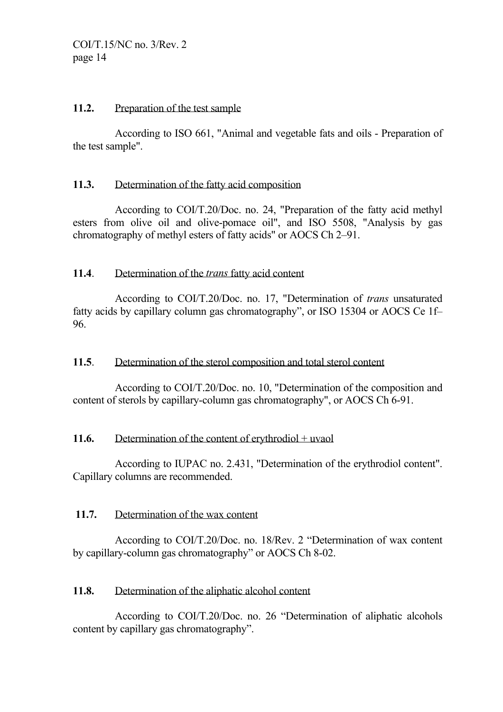#### 11.2. Preparation of the test sample

 According to ISO 661, "Animal and vegetable fats and oils - Preparation of the test sample".

# **11.3.** Determination of the fatty acid composition

 According to COI/T.20/Doc. no. 24, "Preparation of the fatty acid methyl esters from olive oil and olive-pomace oil", and ISO 5508, "Analysis by gas chromatography of methyl esters of fatty acids" or AOCS Ch 2–91.

#### **11.4**. Determination of the *trans* fatty acid content

 According to COI/T.20/Doc. no. 17, "Determination of *trans* unsaturated fatty acids by capillary column gas chromatography", or ISO 15304 or AOCS Ce 1f– 96.

# **11.5**. Determination of the sterol composition and total sterol content

 According to COI/T.20/Doc. no. 10, "Determination of the composition and content of sterols by capillary-column gas chromatography", or AOCS Ch 6-91.

# 11.6. Determination of the content of erythrodiol + uvaol

 According to IUPAC no. 2.431, "Determination of the erythrodiol content". Capillary columns are recommended.

# **11.7.** Determination of the wax content

 According to COI/T.20/Doc. no. 18/Rev. 2 "Determination of wax content by capillary-column gas chromatography" or AOCS Ch 8-02.

# **11.8.** Determination of the aliphatic alcohol content

 According to COI/T.20/Doc. no. 26 "Determination of aliphatic alcohols content by capillary gas chromatography".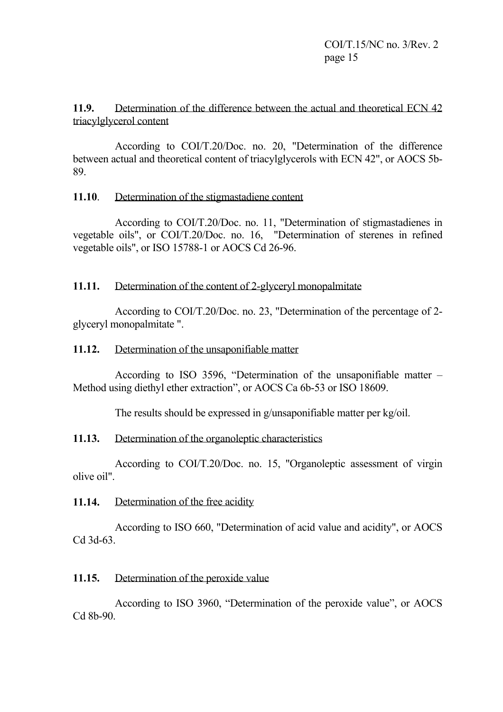## **11.9.** Determination of the difference between the actual and theoretical ECN 42 triacylglycerol content

 According to COI/T.20/Doc. no. 20, "Determination of the difference between actual and theoretical content of triacylglycerols with ECN 42", or AOCS 5b-89.

# **11.10**. Determination of the stigmastadiene content

 According to COI/T.20/Doc. no. 11, "Determination of stigmastadienes in vegetable oils", or COI/T.20/Doc. no. 16, "Determination of sterenes in refined vegetable oils", or ISO 15788-1 or AOCS Cd 26-96.

# **11.11.** Determination of the content of 2-glyceryl monopalmitate

 According to COI/T.20/Doc. no. 23, "Determination of the percentage of 2 glyceryl monopalmitate ".

# 11.12. Determination of the unsaponifiable matter

 According to ISO 3596, "Determination of the unsaponifiable matter – Method using diethyl ether extraction", or AOCS Ca 6b-53 or ISO 18609.

The results should be expressed in g/unsaponifiable matter per kg/oil.

# **11.13.** Determination of the organoleptic characteristics

 According to COI/T.20/Doc. no. 15, "Organoleptic assessment of virgin olive oil".

# **11.14.** Determination of the free acidity

 According to ISO 660, "Determination of acid value and acidity", or AOCS Cd 3d-63.

# **11.15.** Determination of the peroxide value

 According to ISO 3960, "Determination of the peroxide value", or AOCS Cd 8b-90.